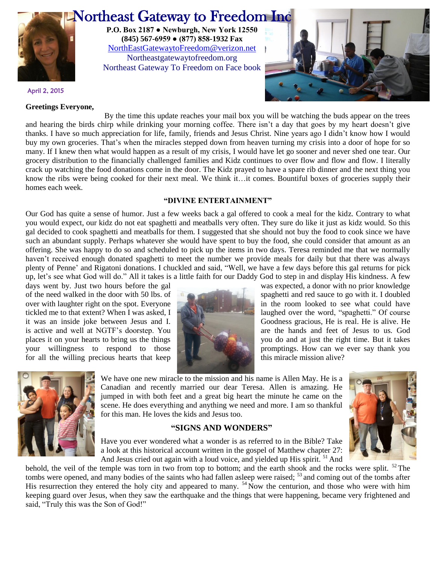

# Northeast Gateway to Freedom Inc

**P.O. Box 2187 ● Newburgh, New York 12550 (845) 567-6959 ● (877) 858-1932 Fax** [NorthEastGatewaytoFreedom@verizon.net](mailto:NorthEastGatewaytoFreedom@verizon.net) Northeastgatewaytofreedom.org Northeast Gateway To Freedom on Face book



April 2, 2015

#### **Greetings Everyone,**

By the time this update reaches your mail box you will be watching the buds appear on the trees and hearing the birds chirp while drinking your morning coffee. There isn't a day that goes by my heart doesn't give thanks. I have so much appreciation for life, family, friends and Jesus Christ. Nine years ago I didn't know how I would buy my own groceries. That's when the miracles stepped down from heaven turning my crisis into a door of hope for so many. If I knew then what would happen as a result of my crisis, I would have let go sooner and never shed one tear. Our grocery distribution to the financially challenged families and Kidz continues to over flow and flow and flow. I literally crack up watching the food donations come in the door. The Kidz prayed to have a spare rib dinner and the next thing you know the ribs were being cooked for their next meal. We think it…it comes. Bountiful boxes of groceries supply their homes each week.

### **"DIVINE ENTERTAINMENT"**

Our God has quite a sense of humor. Just a few weeks back a gal offered to cook a meal for the kidz. Contrary to what you would expect, our kidz do not eat spaghetti and meatballs very often. They sure do like it just as kidz would. So this gal decided to cook spaghetti and meatballs for them. I suggested that she should not buy the food to cook since we have such an abundant supply. Perhaps whatever she would have spent to buy the food, she could consider that amount as an offering. She was happy to do so and scheduled to pick up the items in two days. Teresa reminded me that we normally haven't received enough donated spaghetti to meet the number we provide meals for daily but that there was always plenty of Penne' and Rigatoni donations. I chuckled and said, "Well, we have a few days before this gal returns for pick up, let's see what God will do." All it takes is a little faith for our Daddy God to step in and display His kindness. A few

for all the willing precious hearts that keep this miracle mission alive?



days went by. Just two hours before the gal was expected, a donor with no prior knowledge of the need walked in the door with 50 lbs. of spaghetti and red sauce to go with it. I doubled over with laughter right on the spot. Everyone is a see what could have in the room looked to see what could have tickled me to that extent? When I was asked, I it was an inside joke between Jesus and I. Goodness gracious, He is real. He is alive. He is active and well at NGTF's doorstep. You are the hands and feet of Jesus to us. God places it on your hearts to bring us the things you do and at just the right time. But it takes your willingness to respond to those promptings. How can we ever say thank you



We have one new miracle to the mission and his name is Allen May. He is a Canadian and recently married our dear Teresa. Allen is amazing. He jumped in with both feet and a great big heart the minute he came on the scene. He does everything and anything we need and more. I am so thankful for this man. He loves the kids and Jesus too.

## **"SIGNS AND WONDERS"**



Have you ever wondered what a wonder is as referred to in the Bible? Take a look at this historical account written in the gospel of Matthew chapter 27: And Jesus cried out again with a loud voice, and yielded up His spirit. <sup>51</sup> And

behold, the veil of the temple was torn in two from top to bottom; and the earth shook and the rocks were split.  $52$  The tombs were opened, and many bodies of the saints who had fallen asleep were raised; <sup>53</sup> and coming out of the tombs after His resurrection they entered the holy city and appeared to many.  $54 \text{ Now the centurion, and those who were with him}$ keeping guard over Jesus, when they saw the earthquake and the things that were happening, became very frightened and said, "Truly this was the Son of God!"